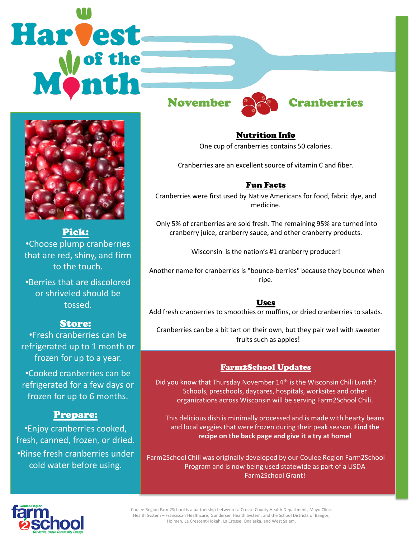# **Harvest**



# Pick:

•Choose plump cranberries that are red, shiny, and firm to the touch.

•Berries that are discolored or shriveled should be tossed.

# Store:

•Fresh cranberries can be refrigerated up to 1 month or frozen for up to a year.

•Cooked cranberries can be refrigerated for a few days or frozen for up to 6 months.

# Prepare:

•Enjoy cranberries cooked, fresh, canned, frozen, or dried. •Rinse fresh cranberries under cold water before using.



# November **Cambers** Cranberries

# Nutrition Info

One cup of cranberries contains 50 calories.

Cranberries are an excellent source of vitamin C and fiber.

# Fun Facts

Cranberries were first used by Native Americans for food, fabric dye, and medicine.

Only 5% of cranberries are sold fresh. The remaining 95% are turned into cranberry juice, cranberry sauce, and other cranberry products.

Wisconsin is the nation's #1 cranberry producer!

Another name for cranberries is "bounce-berries" because they bounce when ripe.

#### Uses

Add fresh cranberries to smoothies or muffins, or dried cranberries to salads.

Cranberries can be a bit tart on their own, but they pair well with sweeter fruits such as apples!

# Farm2School Updates

Did you know that Thursday November 14<sup>th</sup> is the Wisconsin Chili Lunch? Schools, preschools, daycares, hospitals, worksites and other organizations across Wisconsin will be serving Farm2School Chili.

This delicious dish is minimally processed and is made with hearty beans and local veggies that were frozen during their peak season. **Find the recipe on the back page and give it a try at home!** 

Farm2School Chili was originally developed by our Coulee Region Farm2School Program and is now being used statewide as part of a USDA Farm2School Grant!



Coulee Region Farm2School is a partnership between La Crosse County Health Department, Mayo Clinic Health System – Franciscan Healthcare, Gundersen Health System, and the School Districts of Bangor, Holmen, La Crescent-Hokah, La Crosse, Onalaska, and West Salem.